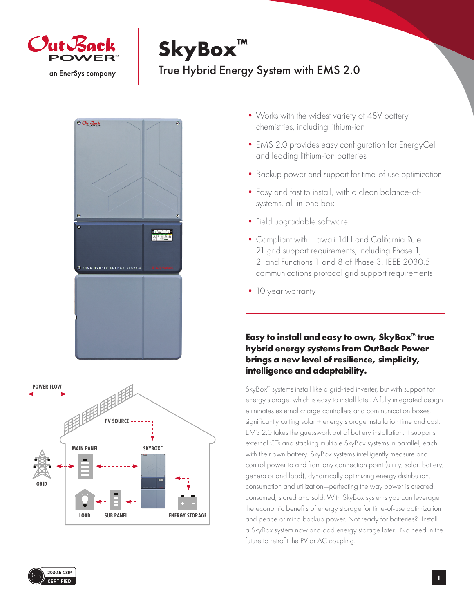

## **SkyBox™**

## True Hybrid Energy System with EMS 2.0





- Works with the widest variety of 48V battery chemistries, including lithium-ion
- EMS 2.0 provides easy configuration for EnergyCell and leading lithium-ion batteries
- •Backup power and support for time-of-use optimization
- •Easy and fast to install, with a clean balance-ofsystems, all-in-one box
- Field upgradable software
- •Compliant with Hawaii 14H and California Rule 21 grid support requirements, including Phase 1, 2, and Functions 1 and 8 of Phase 3, IEEE 2030.5 communications protocol grid support requirements
- 10 year warranty

## **Easy to install and easy to own, SkyBox™ true hybrid energy systems from OutBack Power brings a new level of resilience, simplicity, intelligence and adaptability.**

SkyBox™ systems install like a grid-tied inverter, but with support for energy storage, which is easy to install later. A fully integrated design eliminates external charge controllers and communication boxes, significantly cutting solar + energy storage installation time and cost. EMS 2.0 takes the guesswork out of battery installation. It supports external CTs and stacking multiple SkyBox systems in parallel, each with their own battery. SkyBox systems intelligently measure and control power to and from any connection point (utility, solar, battery, generator and load), dynamically optimizing energy distribution, consumption and utilization—perfecting the way power is created, consumed, stored and sold. With SkyBox systems you can leverage the economic benefits of energy storage for time-of-use optimization and peace of mind backup power. Not ready for batteries? Install a SkyBox system now and add energy storage later. No need in the future to retrofit the PV or AC coupling.